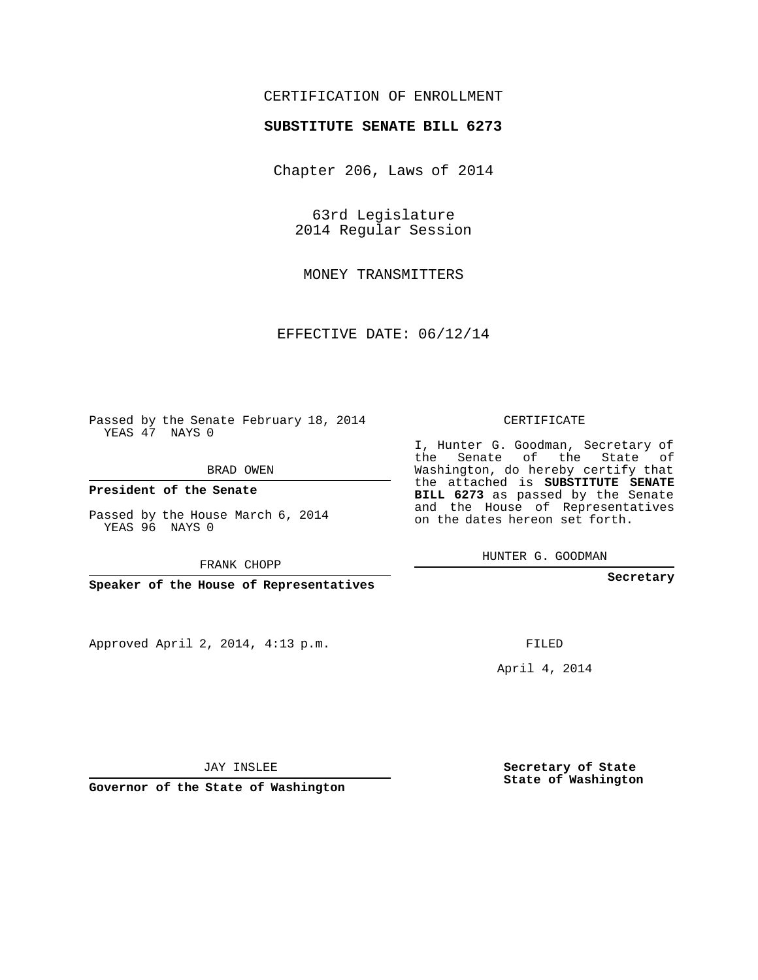## CERTIFICATION OF ENROLLMENT

## **SUBSTITUTE SENATE BILL 6273**

Chapter 206, Laws of 2014

63rd Legislature 2014 Regular Session

MONEY TRANSMITTERS

EFFECTIVE DATE: 06/12/14

Passed by the Senate February 18, 2014 YEAS 47 NAYS 0

BRAD OWEN

**President of the Senate**

Passed by the House March 6, 2014 YEAS 96 NAYS 0

FRANK CHOPP

**Speaker of the House of Representatives**

Approved April 2, 2014, 4:13 p.m.

CERTIFICATE

I, Hunter G. Goodman, Secretary of the Senate of the State of Washington, do hereby certify that the attached is **SUBSTITUTE SENATE BILL 6273** as passed by the Senate and the House of Representatives on the dates hereon set forth.

HUNTER G. GOODMAN

**Secretary**

FILED

April 4, 2014

**Secretary of State State of Washington**

JAY INSLEE

**Governor of the State of Washington**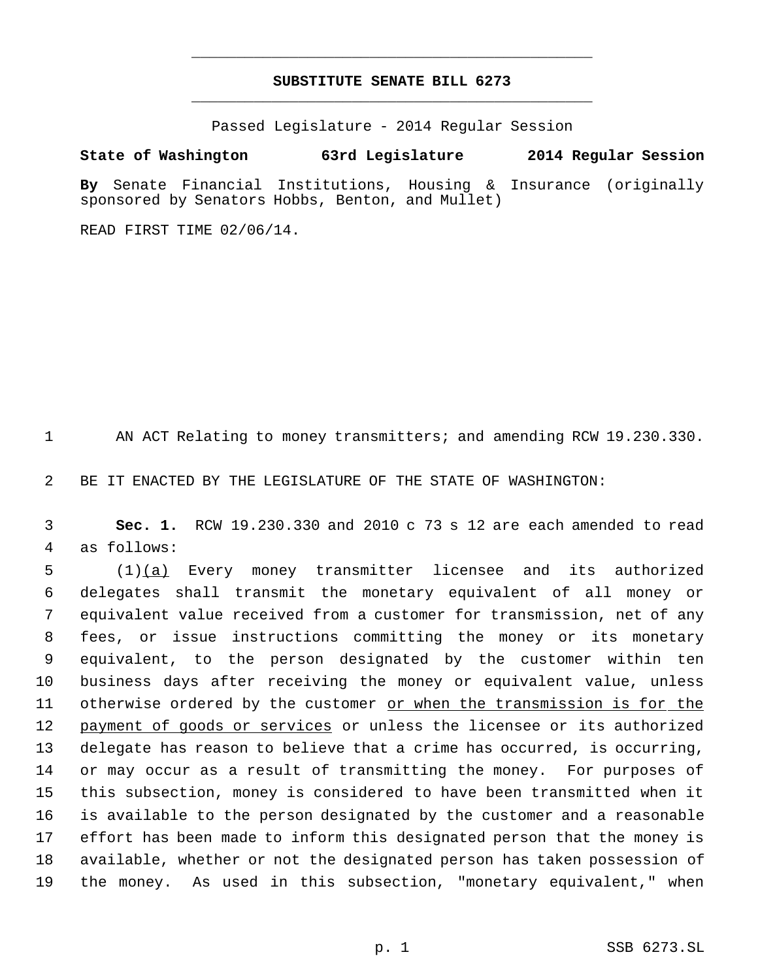## **SUBSTITUTE SENATE BILL 6273** \_\_\_\_\_\_\_\_\_\_\_\_\_\_\_\_\_\_\_\_\_\_\_\_\_\_\_\_\_\_\_\_\_\_\_\_\_\_\_\_\_\_\_\_\_

\_\_\_\_\_\_\_\_\_\_\_\_\_\_\_\_\_\_\_\_\_\_\_\_\_\_\_\_\_\_\_\_\_\_\_\_\_\_\_\_\_\_\_\_\_

Passed Legislature - 2014 Regular Session

**State of Washington 63rd Legislature 2014 Regular Session**

**By** Senate Financial Institutions, Housing & Insurance (originally sponsored by Senators Hobbs, Benton, and Mullet)

READ FIRST TIME 02/06/14.

AN ACT Relating to money transmitters; and amending RCW 19.230.330.

BE IT ENACTED BY THE LEGISLATURE OF THE STATE OF WASHINGTON:

 **Sec. 1.** RCW 19.230.330 and 2010 c 73 s 12 are each amended to read as follows:

 (1)(a) Every money transmitter licensee and its authorized delegates shall transmit the monetary equivalent of all money or equivalent value received from a customer for transmission, net of any fees, or issue instructions committing the money or its monetary equivalent, to the person designated by the customer within ten business days after receiving the money or equivalent value, unless otherwise ordered by the customer or when the transmission is for the 12 payment of goods or services or unless the licensee or its authorized delegate has reason to believe that a crime has occurred, is occurring, or may occur as a result of transmitting the money. For purposes of this subsection, money is considered to have been transmitted when it is available to the person designated by the customer and a reasonable effort has been made to inform this designated person that the money is available, whether or not the designated person has taken possession of the money. As used in this subsection, "monetary equivalent," when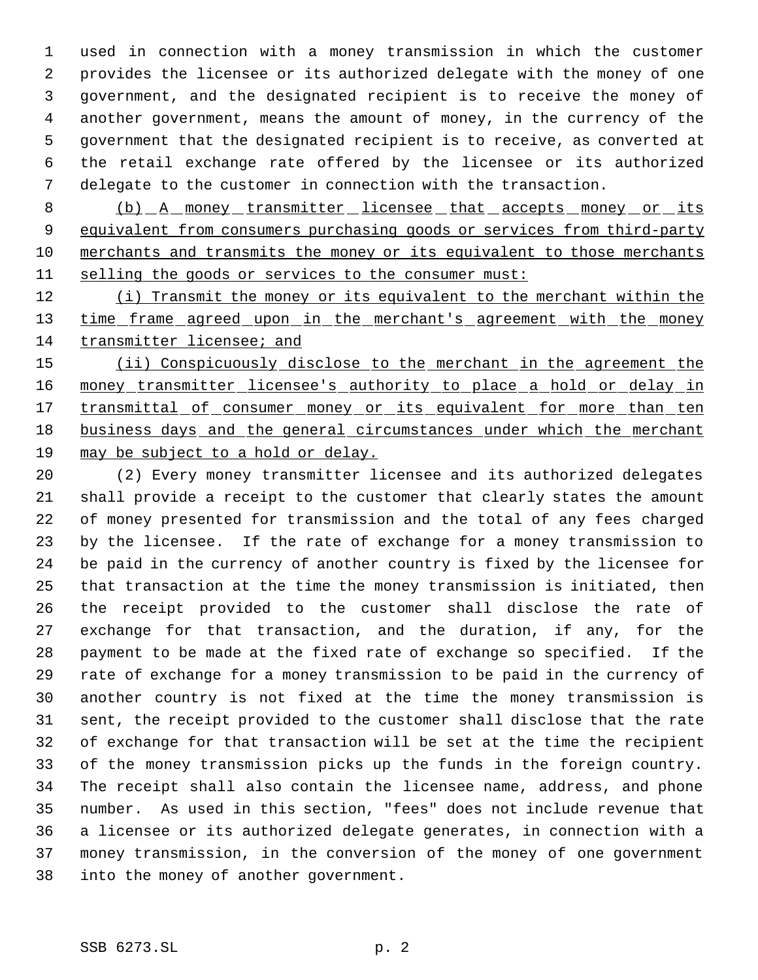used in connection with a money transmission in which the customer provides the licensee or its authorized delegate with the money of one government, and the designated recipient is to receive the money of another government, means the amount of money, in the currency of the government that the designated recipient is to receive, as converted at the retail exchange rate offered by the licensee or its authorized delegate to the customer in connection with the transaction.

8 (b) A money transmitter licensee that accepts money or its 9 equivalent from consumers purchasing goods or services from third-party merchants and transmits the money or its equivalent to those merchants selling the goods or services to the consumer must:

12 (i) Transmit the money or its equivalent to the merchant within the 13 time frame agreed upon in the merchant's agreement with the money transmitter licensee; and

15 (ii) Conspicuously disclose to the merchant in the agreement the 16 money\_transmitter\_licensee's\_authority\_to\_place\_a\_hold\_or\_delay\_in 17 transmittal of consumer money or its equivalent for more than ten business days and the general circumstances under which the merchant may be subject to a hold or delay.

 (2) Every money transmitter licensee and its authorized delegates shall provide a receipt to the customer that clearly states the amount of money presented for transmission and the total of any fees charged by the licensee. If the rate of exchange for a money transmission to be paid in the currency of another country is fixed by the licensee for that transaction at the time the money transmission is initiated, then the receipt provided to the customer shall disclose the rate of exchange for that transaction, and the duration, if any, for the payment to be made at the fixed rate of exchange so specified. If the rate of exchange for a money transmission to be paid in the currency of another country is not fixed at the time the money transmission is sent, the receipt provided to the customer shall disclose that the rate of exchange for that transaction will be set at the time the recipient of the money transmission picks up the funds in the foreign country. The receipt shall also contain the licensee name, address, and phone number. As used in this section, "fees" does not include revenue that a licensee or its authorized delegate generates, in connection with a money transmission, in the conversion of the money of one government into the money of another government.